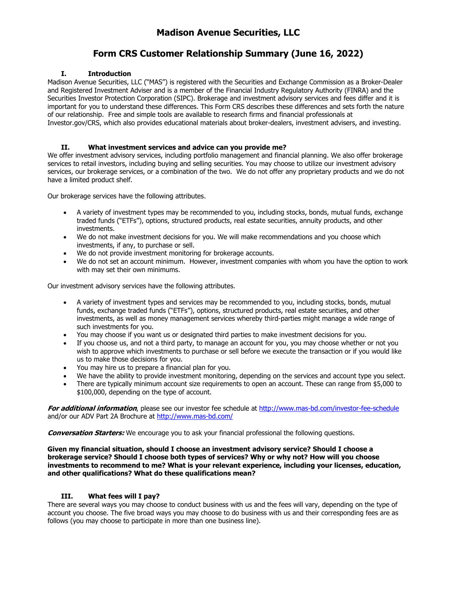## **Form CRS Customer Relationship Summary (June 16, 2022)**

## **I. Introduction**

Madison Avenue Securities, LLC ("MAS") is registered with the Securities and Exchange Commission as a Broker-Dealer and Registered Investment Adviser and is a member of the Financial Industry Regulatory Authority (FINRA) and the Securities Investor Protection Corporation (SIPC). Brokerage and investment advisory services and fees differ and it is important for you to understand these differences. This Form CRS describes these differences and sets forth the nature of our relationship. Free and simple tools are available to research firms and financial professionals at Investor.gov/CRS, which also provides educational materials about broker-dealers, investment advisers, and investing.

## **II. What investment services and advice can you provide me?**

We offer investment advisory services, including portfolio management and financial planning. We also offer brokerage services to retail investors, including buying and selling securities. You may choose to utilize our investment advisory services, our brokerage services, or a combination of the two. We do not offer any proprietary products and we do not have a limited product shelf.

Our brokerage services have the following attributes.

- A variety of investment types may be recommended to you, including stocks, bonds, mutual funds, exchange traded funds ("ETFs"), options, structured products, real estate securities, annuity products, and other investments.
- We do not make investment decisions for you. We will make recommendations and you choose which investments, if any, to purchase or sell.
- We do not provide investment monitoring for brokerage accounts.
- We do not set an account minimum. However, investment companies with whom you have the option to work with may set their own minimums.

Our investment advisory services have the following attributes.

- A variety of investment types and services may be recommended to you, including stocks, bonds, mutual funds, exchange traded funds ("ETFs"), options, structured products, real estate securities, and other investments, as well as money management services whereby third-parties might manage a wide range of such investments for you.
- You may choose if you want us or designated third parties to make investment decisions for you.
- If you choose us, and not a third party, to manage an account for you, you may choose whether or not you wish to approve which investments to purchase or sell before we execute the transaction or if you would like us to make those decisions for you.
- You may hire us to prepare a financial plan for you.
- We have the ability to provide investment monitoring, depending on the services and account type you select.
- There are typically minimum account size requirements to open an account. These can range from \$5,000 to \$100,000, depending on the type of account.

**For additional information**, please see our investor fee schedule at http://www.mas-bd.com/investor-fee-schedule and/or our ADV Part 2A Brochure at http://www.mas-bd.com/

**Conversation Starters:** We encourage you to ask your financial professional the following questions.

**Given my financial situation, should I choose an investment advisory service? Should I choose a brokerage service? Should I choose both types of services? Why or why not? How will you choose investments to recommend to me? What is your relevant experience, including your licenses, education, and other qualifications? What do these qualifications mean?** 

### **III. What fees will I pay?**

There are several ways you may choose to conduct business with us and the fees will vary, depending on the type of account you choose. The five broad ways you may choose to do business with us and their corresponding fees are as follows (you may choose to participate in more than one business line).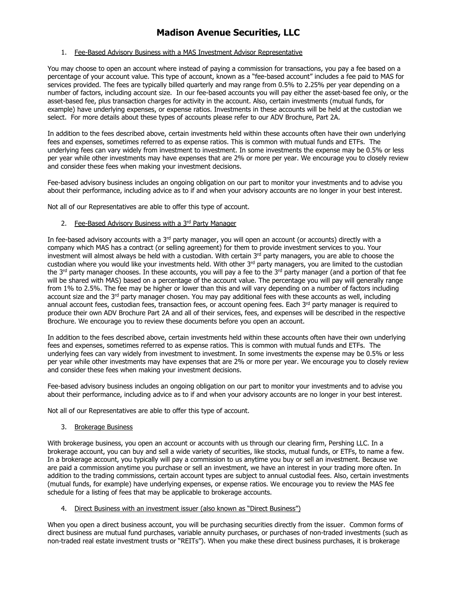### 1. Fee-Based Advisory Business with a MAS Investment Advisor Representative

You may choose to open an account where instead of paying a commission for transactions, you pay a fee based on a percentage of your account value. This type of account, known as a "fee-based account" includes a fee paid to MAS for services provided. The fees are typically billed quarterly and may range from 0.5% to 2.25% per year depending on a number of factors, including account size. In our fee-based accounts you will pay either the asset-based fee only, or the asset-based fee, plus transaction charges for activity in the account. Also, certain investments (mutual funds, for example) have underlying expenses, or expense ratios. Investments in these accounts will be held at the custodian we select. For more details about these types of accounts please refer to our ADV Brochure, Part 2A.

In addition to the fees described above, certain investments held within these accounts often have their own underlying fees and expenses, sometimes referred to as expense ratios. This is common with mutual funds and ETFs. The underlying fees can vary widely from investment to investment. In some investments the expense may be 0.5% or less per year while other investments may have expenses that are 2% or more per year. We encourage you to closely review and consider these fees when making your investment decisions.

Fee-based advisory business includes an ongoing obligation on our part to monitor your investments and to advise you about their performance, including advice as to if and when your advisory accounts are no longer in your best interest.

Not all of our Representatives are able to offer this type of account.

### 2. Fee-Based Advisory Business with a 3rd Party Manager

In fee-based advisory accounts with a  $3<sup>rd</sup>$  party manager, you will open an account (or accounts) directly with a company which MAS has a contract (or selling agreement) for them to provide investment services to you. Your investment will almost always be held with a custodian. With certain 3rd party managers, you are able to choose the custodian where you would like your investments held. With other 3<sup>rd</sup> party managers, you are limited to the custodian the 3<sup>rd</sup> party manager chooses. In these accounts, you will pay a fee to the 3<sup>rd</sup> party manager (and a portion of that fee will be shared with MAS) based on a percentage of the account value. The percentage you will pay will generally range from 1% to 2.5%. The fee may be higher or lower than this and will vary depending on a number of factors including account size and the  $3<sup>rd</sup>$  party manager chosen. You may pay additional fees with these accounts as well, including annual account fees, custodian fees, transaction fees, or account opening fees. Each 3<sup>rd</sup> party manager is required to produce their own ADV Brochure Part 2A and all of their services, fees, and expenses will be described in the respective Brochure. We encourage you to review these documents before you open an account.

In addition to the fees described above, certain investments held within these accounts often have their own underlying fees and expenses, sometimes referred to as expense ratios. This is common with mutual funds and ETFs. The underlying fees can vary widely from investment to investment. In some investments the expense may be 0.5% or less per year while other investments may have expenses that are 2% or more per year. We encourage you to closely review and consider these fees when making your investment decisions.

Fee-based advisory business includes an ongoing obligation on our part to monitor your investments and to advise you about their performance, including advice as to if and when your advisory accounts are no longer in your best interest.

Not all of our Representatives are able to offer this type of account.

#### 3. Brokerage Business

With brokerage business, you open an account or accounts with us through our clearing firm, Pershing LLC. In a brokerage account, you can buy and sell a wide variety of securities, like stocks, mutual funds, or ETFs, to name a few. In a brokerage account, you typically will pay a commission to us anytime you buy or sell an investment. Because we are paid a commission anytime you purchase or sell an investment, we have an interest in your trading more often. In addition to the trading commissions, certain account types are subject to annual custodial fees. Also, certain investments (mutual funds, for example) have underlying expenses, or expense ratios. We encourage you to review the MAS fee schedule for a listing of fees that may be applicable to brokerage accounts.

### 4. Direct Business with an investment issuer (also known as "Direct Business")

When you open a direct business account, you will be purchasing securities directly from the issuer. Common forms of direct business are mutual fund purchases, variable annuity purchases, or purchases of non-traded investments (such as non-traded real estate investment trusts or "REITs"). When you make these direct business purchases, it is brokerage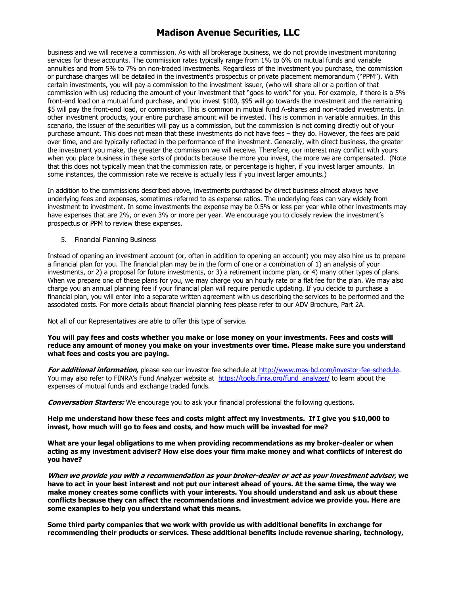business and we will receive a commission. As with all brokerage business, we do not provide investment monitoring services for these accounts. The commission rates typically range from 1% to 6% on mutual funds and variable annuities and from 5% to 7% on non-traded investments. Regardless of the investment you purchase, the commission or purchase charges will be detailed in the investment's prospectus or private placement memorandum ("PPM"). With certain investments, you will pay a commission to the investment issuer, (who will share all or a portion of that commission with us) reducing the amount of your investment that "goes to work" for you. For example, if there is a 5% front-end load on a mutual fund purchase, and you invest \$100, \$95 will go towards the investment and the remaining \$5 will pay the front-end load, or commission. This is common in mutual fund A-shares and non-traded investments. In other investment products, your entire purchase amount will be invested. This is common in variable annuities. In this scenario, the issuer of the securities will pay us a commission, but the commission is not coming directly out of your purchase amount. This does not mean that these investments do not have fees – they do. However, the fees are paid over time, and are typically reflected in the performance of the investment. Generally, with direct business, the greater the investment you make, the greater the commission we will receive. Therefore, our interest may conflict with yours when you place business in these sorts of products because the more you invest, the more we are compensated. (Note that this does not typically mean that the commission rate, or percentage is higher, if you invest larger amounts. In some instances, the commission rate we receive is actually less if you invest larger amounts.)

In addition to the commissions described above, investments purchased by direct business almost always have underlying fees and expenses, sometimes referred to as expense ratios. The underlying fees can vary widely from investment to investment. In some investments the expense may be 0.5% or less per year while other investments may have expenses that are 2%, or even 3% or more per year. We encourage you to closely review the investment's prospectus or PPM to review these expenses.

### 5. Financial Planning Business

Instead of opening an investment account (or, often in addition to opening an account) you may also hire us to prepare a financial plan for you. The financial plan may be in the form of one or a combination of 1) an analysis of your investments, or 2) a proposal for future investments, or 3) a retirement income plan, or 4) many other types of plans. When we prepare one of these plans for you, we may charge you an hourly rate or a flat fee for the plan. We may also charge you an annual planning fee if your financial plan will require periodic updating. If you decide to purchase a financial plan, you will enter into a separate written agreement with us describing the services to be performed and the associated costs. For more details about financial planning fees please refer to our ADV Brochure, Part 2A.

Not all of our Representatives are able to offer this type of service.

**You will pay fees and costs whether you make or lose money on your investments. Fees and costs will reduce any amount of money you make on your investments over time. Please make sure you understand what fees and costs you are paying.** 

**For additional information,** please see our investor fee schedule at http://www.mas-bd.com/investor-fee-schedule. You may also refer to FINRA's Fund Analyzer website at https://tools.finra.org/fund\_analyzer/ to learn about the expenses of mutual funds and exchange traded funds.

**Conversation Starters:** We encourage you to ask your financial professional the following questions.

**Help me understand how these fees and costs might affect my investments. If I give you \$10,000 to invest, how much will go to fees and costs, and how much will be invested for me?** 

**What are your legal obligations to me when providing recommendations as my broker-dealer or when acting as my investment adviser? How else does your firm make money and what conflicts of interest do you have?** 

**When we provide you with a recommendation as your broker-dealer or act as your investment adviser, we have to act in your best interest and not put our interest ahead of yours. At the same time, the way we make money creates some conflicts with your interests. You should understand and ask us about these conflicts because they can affect the recommendations and investment advice we provide you. Here are some examples to help you understand what this means.** 

**Some third party companies that we work with provide us with additional benefits in exchange for recommending their products or services. These additional benefits include revenue sharing, technology,**